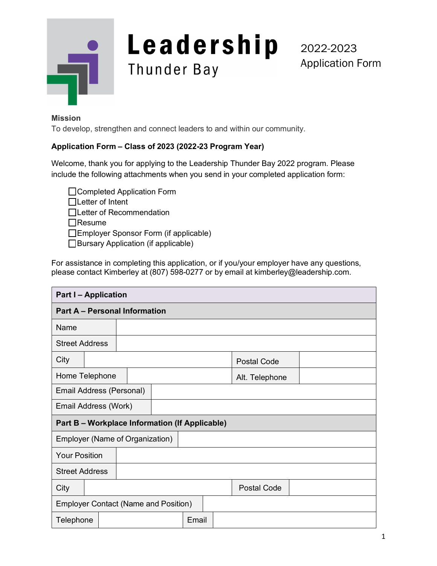

# Leadership Thunder Bay

2022-2023 Application Form

#### **Mission**

To develop, strengthen and connect leaders to and within our community.

## **Application Form – Class of 2023 (2022-23 Program Year)**

Welcome, thank you for applying to the Leadership Thunder Bay 2022 program. Please include the following attachments when you send in your completed application form:

□ Completed Application Form

Letter of Intent

□Letter of Recommendation

 $\Box$ Resume

Employer Sponsor Form (if applicable)

□Bursary Application (if applicable)

For assistance in completing this application, or if you/your employer have any questions, please contact Kimberley at (807) 598-0277 or by email at [kimberley@leadership.com.](mailto:kimberley@leadership.com)

| <b>Part I-Application</b>                      |  |  |  |       |                |  |                    |  |  |
|------------------------------------------------|--|--|--|-------|----------------|--|--------------------|--|--|
| <b>Part A - Personal Information</b>           |  |  |  |       |                |  |                    |  |  |
| Name                                           |  |  |  |       |                |  |                    |  |  |
| <b>Street Address</b>                          |  |  |  |       |                |  |                    |  |  |
| City                                           |  |  |  |       |                |  | <b>Postal Code</b> |  |  |
| Home Telephone                                 |  |  |  |       | Alt. Telephone |  |                    |  |  |
| Email Address (Personal)                       |  |  |  |       |                |  |                    |  |  |
| Email Address (Work)                           |  |  |  |       |                |  |                    |  |  |
| Part B - Workplace Information (If Applicable) |  |  |  |       |                |  |                    |  |  |
| Employer (Name of Organization)                |  |  |  |       |                |  |                    |  |  |
| <b>Your Position</b>                           |  |  |  |       |                |  |                    |  |  |
| <b>Street Address</b>                          |  |  |  |       |                |  |                    |  |  |
| City                                           |  |  |  |       |                |  | <b>Postal Code</b> |  |  |
| <b>Employer Contact (Name and Position)</b>    |  |  |  |       |                |  |                    |  |  |
| Telephone                                      |  |  |  | Email |                |  |                    |  |  |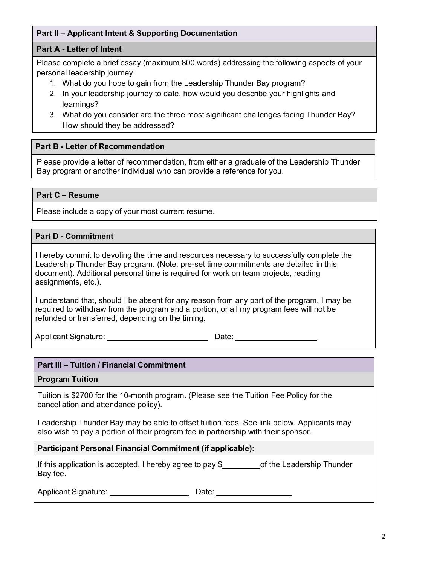# **Part II – Applicant Intent & Supporting Documentation**

## **Part A - Letter of Intent**

Please complete a brief essay (maximum 800 words) addressing the following aspects of your personal leadership journey.

- 1. What do you hope to gain from the Leadership Thunder Bay program?
- 2. In your leadership journey to date, how would you describe your highlights and learnings?
- 3. What do you consider are the three most significant challenges facing Thunder Bay? How should they be addressed?

#### **Part B - Letter of Recommendation**

Please provide a letter of recommendation, from either a graduate of the Leadership Thunder Bay program or another individual who can provide a reference for you.

## **Part C – Resume**

Please include a copy of your most current resume.

## **Part D - Commitment**

I hereby commit to devoting the time and resources necessary to successfully complete the Leadership Thunder Bay program. (Note: pre-set time commitments are detailed in this document). Additional personal time is required for work on team projects, reading assignments, etc.).

I understand that, should I be absent for any reason from any part of the program, I may be required to withdraw from the program and a portion, or all my program fees will not be refunded or transferred, depending on the timing.

Applicant Signature: Date: Date: Date:

#### **Part III – Tuition / Financial Commitment**

#### **Program Tuition**

Tuition is \$2700 for the 10-month program. (Please see the Tuition Fee Policy for the cancellation and attendance policy).

Leadership Thunder Bay may be able to offset tuition fees. See link below. Applicants may also wish to pay a portion of their program fee in partnership with their sponsor.

#### **Participant Personal Financial Commitment (if applicable):**

If this application is accepted, I hereby agree to pay  $$$  of the Leadership Thunder Bay fee.

Applicant Signature: Date: